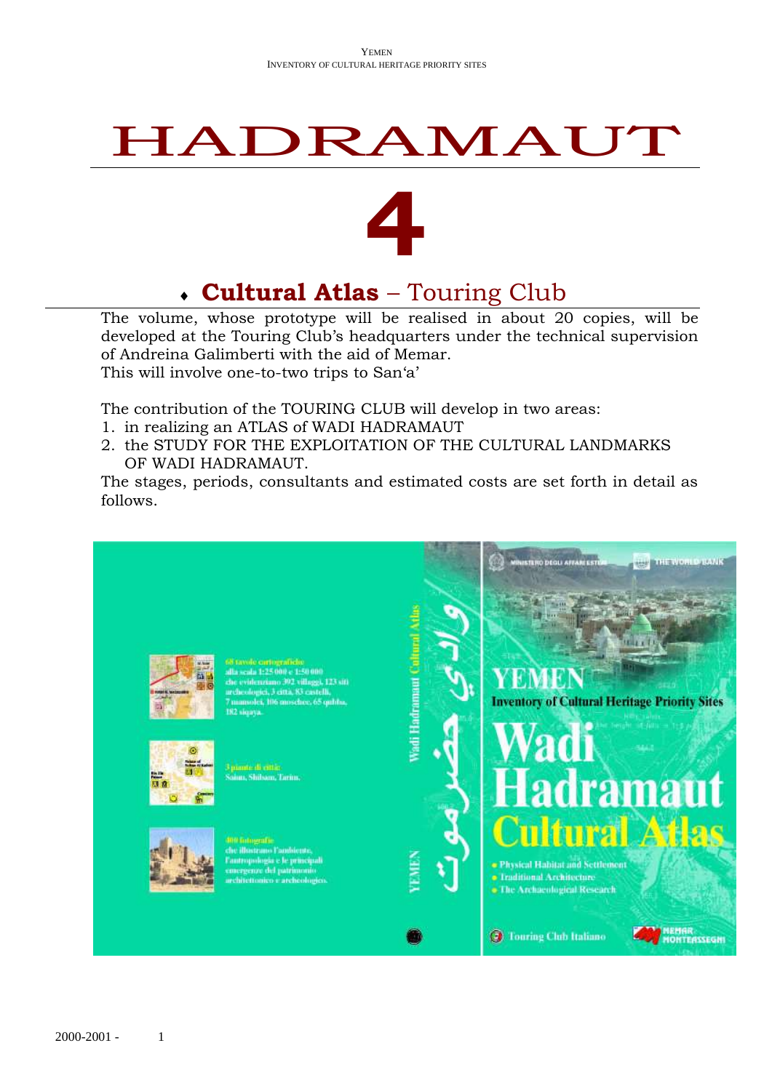# HADRAMAUT



# **Cultural Atlas** – Touring Club

The volume, whose prototype will be realised in about 20 copies, will be developed at the Touring Club's headquarters under the technical supervision of Andreina Galimberti with the aid of Memar.

This will involve one-to-two trips to San'a'

The contribution of the TOURING CLUB will develop in two areas:

- 1. in realizing an ATLAS of WADI HADRAMAUT
- 2. the STUDY FOR THE EXPLOITATION OF THE CULTURAL LANDMARKS OF WADI HADRAMAUT.

The stages, periods, consultants and estimated costs are set forth in detail as follows.

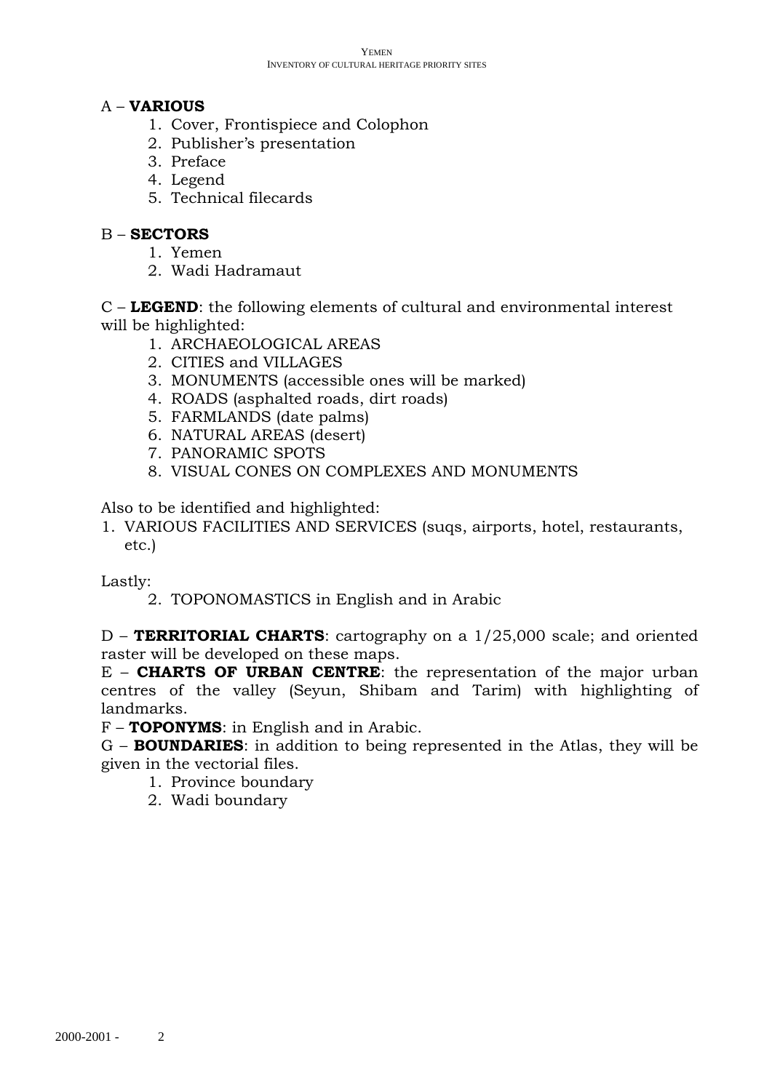# A – **VARIOUS**

- 1. Cover, Frontispiece and Colophon
- 2. Publisher's presentation
- 3. Preface
- 4. Legend
- 5. Technical filecards

### B – **SECTORS**

- 1. Yemen
- 2. Wadi Hadramaut

C – **LEGEND**: the following elements of cultural and environmental interest will be highlighted:

- 1. ARCHAEOLOGICAL AREAS
- 2. CITIES and VILLAGES
- 3. MONUMENTS (accessible ones will be marked)
- 4. ROADS (asphalted roads, dirt roads)
- 5. FARMLANDS (date palms)
- 6. NATURAL AREAS (desert)
- 7. PANORAMIC SPOTS
- 8. VISUAL CONES ON COMPLEXES AND MONUMENTS

Also to be identified and highlighted:

1. VARIOUS FACILITIES AND SERVICES (suqs, airports, hotel, restaurants, etc.)

Lastly:

2. TOPONOMASTICS in English and in Arabic

D – **TERRITORIAL CHARTS**: cartography on a 1/25,000 scale; and oriented raster will be developed on these maps.

E – **CHARTS OF URBAN CENTRE**: the representation of the major urban centres of the valley (Seyun, Shibam and Tarim) with highlighting of landmarks.

F – **TOPONYMS**: in English and in Arabic.

G – **BOUNDARIES**: in addition to being represented in the Atlas, they will be given in the vectorial files.

- 1. Province boundary
- 2. Wadi boundary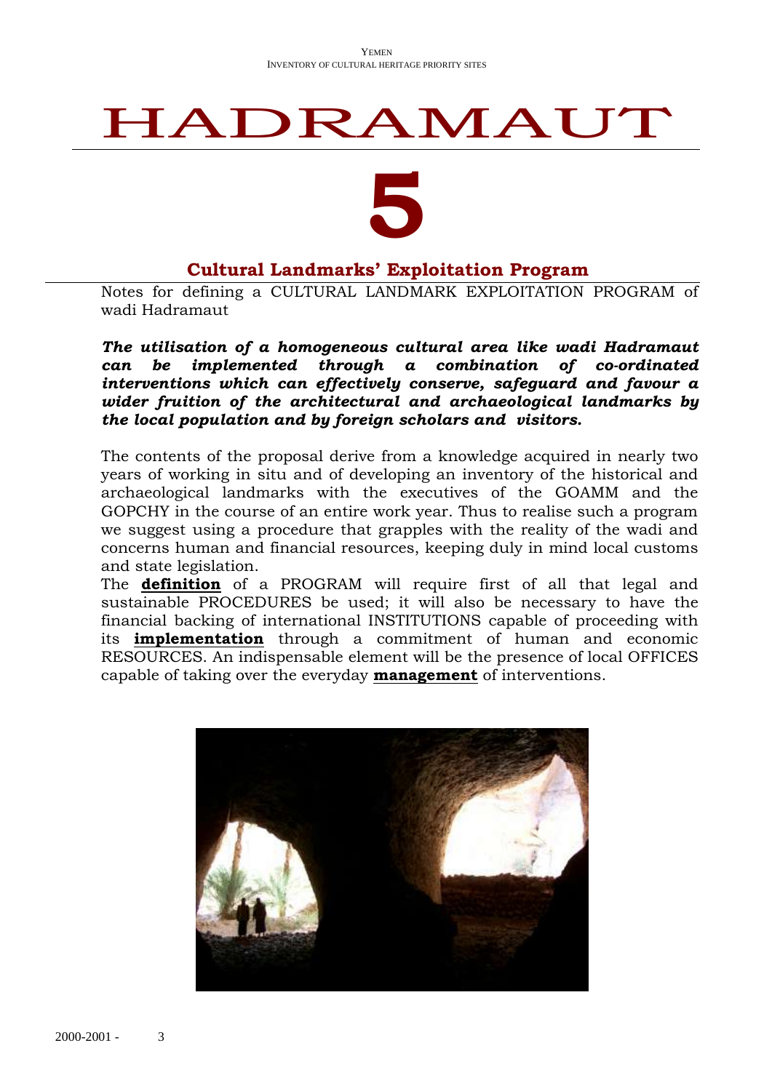# HADRAMAUT

# **5**

# **Cultural Landmarks' Exploitation Program**

Notes for defining a CULTURAL LANDMARK EXPLOITATION PROGRAM of wadi Hadramaut

*The utilisation of a homogeneous cultural area like wadi Hadramaut can be implemented through a combination of co-ordinated interventions which can effectively conserve, safeguard and favour a wider fruition of the architectural and archaeological landmarks by the local population and by foreign scholars and visitors.*

The contents of the proposal derive from a knowledge acquired in nearly two years of working in situ and of developing an inventory of the historical and archaeological landmarks with the executives of the GOAMM and the GOPCHY in the course of an entire work year. Thus to realise such a program we suggest using a procedure that grapples with the reality of the wadi and concerns human and financial resources, keeping duly in mind local customs and state legislation.

The **definition** of a PROGRAM will require first of all that legal and sustainable PROCEDURES be used; it will also be necessary to have the financial backing of international INSTITUTIONS capable of proceeding with its **implementation** through a commitment of human and economic RESOURCES. An indispensable element will be the presence of local OFFICES capable of taking over the everyday **management** of interventions.

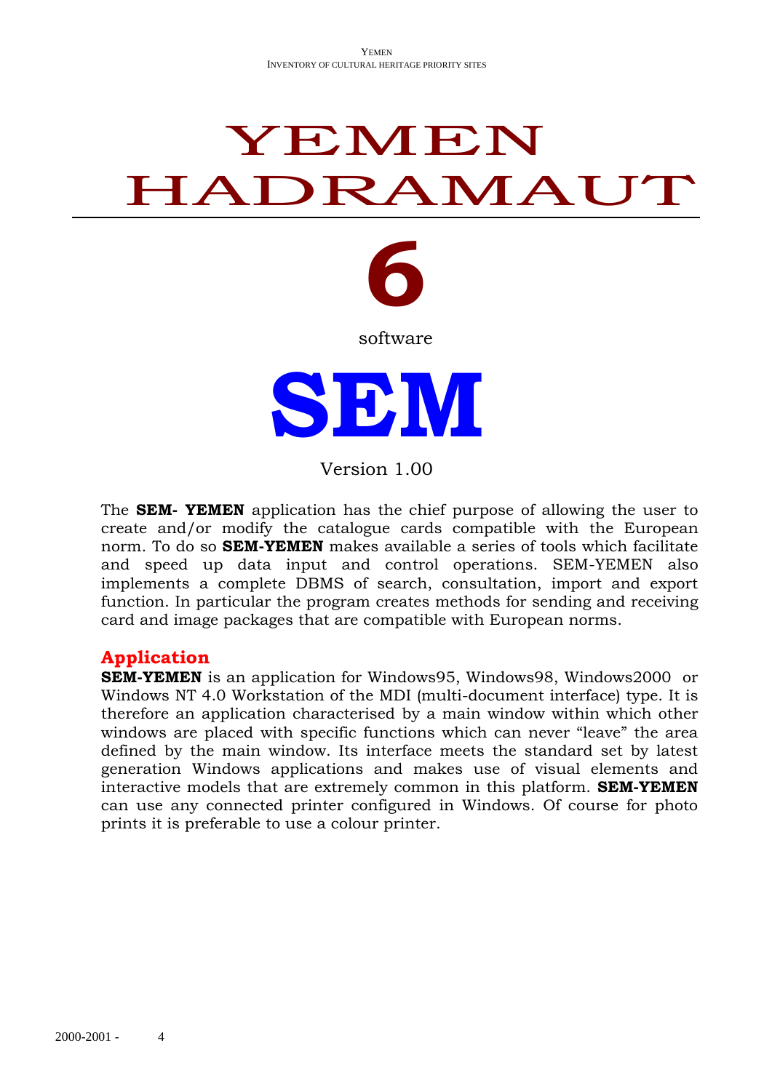# YEMEN HADRAMAUT



software



Version 1.00

The **SEM- YEMEN** application has the chief purpose of allowing the user to create and/or modify the catalogue cards compatible with the European norm. To do so **SEM-YEMEN** makes available a series of tools which facilitate and speed up data input and control operations. SEM-YEMEN also implements a complete DBMS of search, consultation, import and export function. In particular the program creates methods for sending and receiving card and image packages that are compatible with European norms.

# **Application**

**SEM-YEMEN** is an application for Windows95, Windows98, Windows2000 or Windows NT 4.0 Workstation of the MDI (multi-document interface) type. It is therefore an application characterised by a main window within which other windows are placed with specific functions which can never "leave" the area defined by the main window. Its interface meets the standard set by latest generation Windows applications and makes use of visual elements and interactive models that are extremely common in this platform. **SEM-YEMEN** can use any connected printer configured in Windows. Of course for photo prints it is preferable to use a colour printer.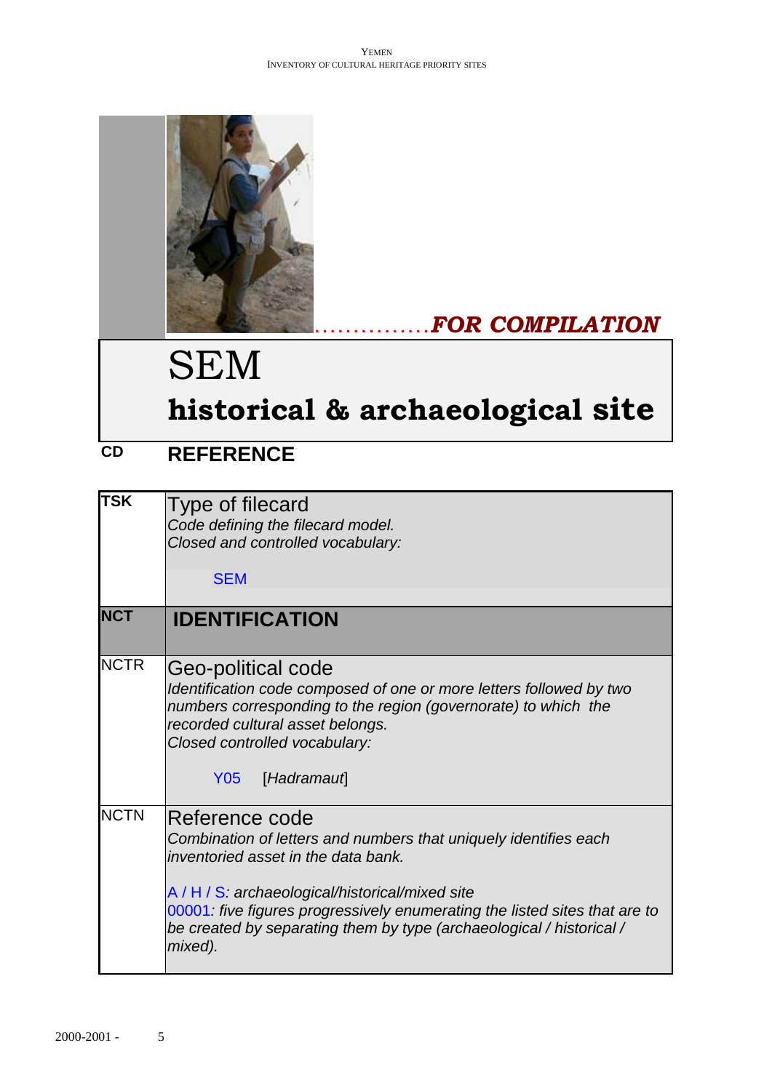

# ……………*FOR COMPILATION*

# SEM

# **historical & archaeological site**

# **CD REFERENCE**

| <b>TSK</b>  | Type of filecard<br>Code defining the filecard model.<br>Closed and controlled vocabulary:<br><b>SEM</b>                                                                                                                                                                                                                                     |
|-------------|----------------------------------------------------------------------------------------------------------------------------------------------------------------------------------------------------------------------------------------------------------------------------------------------------------------------------------------------|
| <b>NCT</b>  | <b>IDENTIFICATION</b>                                                                                                                                                                                                                                                                                                                        |
| <b>NCTR</b> | Geo-political code<br>Identification code composed of one or more letters followed by two<br>numbers corresponding to the region (governorate) to which the<br>recorded cultural asset belongs.<br>Closed controlled vocabulary:<br><b>Y05</b><br>[Hadramaut]                                                                                |
| <b>NCTN</b> | Reference code<br>Combination of letters and numbers that uniquely identifies each<br>inventoried asset in the data bank.<br>A / H / S: archaeological/historical/mixed site<br>00001 five figures progressively enumerating the listed sites that are to<br>be created by separating them by type (archaeological / historical /<br>mixed). |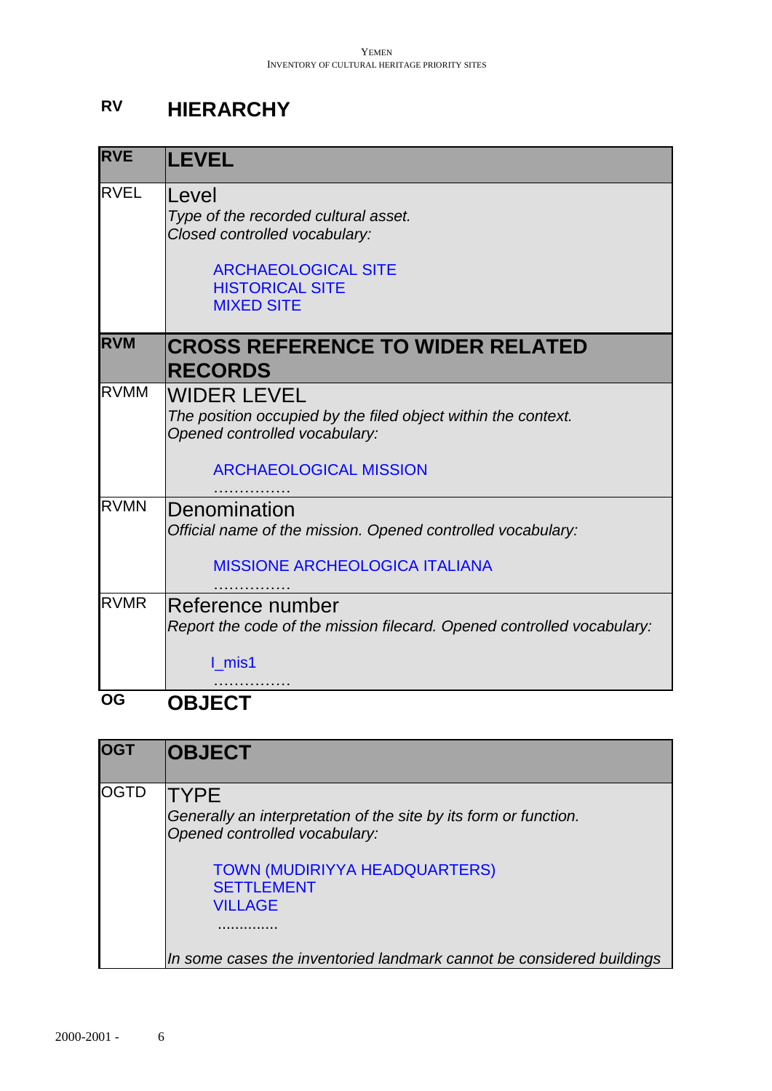# **RV HIERARCHY**

| <b>RVE</b>  | <b>LEVEL</b>                                                                                                                                                |
|-------------|-------------------------------------------------------------------------------------------------------------------------------------------------------------|
| <b>RVEL</b> | Level<br>Type of the recorded cultural asset.<br>Closed controlled vocabulary:<br><b>ARCHAEOLOGICAL SITE</b><br><b>HISTORICAL SITE</b><br><b>MIXED SITE</b> |
| <b>RVM</b>  | <b>CROSS REFERENCE TO WIDER RELATED</b><br><b>RECORDS</b>                                                                                                   |
| <b>RVMM</b> | <b>WIDER LEVEL</b><br>The position occupied by the filed object within the context.<br>Opened controlled vocabulary:<br><b>ARCHAEOLOGICAL MISSION</b>       |
| <b>RVMN</b> | Denomination<br>Official name of the mission. Opened controlled vocabulary:<br><b>MISSIONE ARCHEOLOGICA ITALIANA</b>                                        |
| <b>RVMR</b> | Reference number<br>Report the code of the mission filecard. Opened controlled vocabulary:<br>I mis1                                                        |
| <b>OG</b>   | <b>OBJECT</b>                                                                                                                                               |

| <b>OGT</b> | <b>OBJECT</b>                                                                                                                                                                                   |
|------------|-------------------------------------------------------------------------------------------------------------------------------------------------------------------------------------------------|
| IOGTD      | <b>TYPE</b><br>Generally an interpretation of the site by its form or function.<br>Opened controlled vocabulary:<br><b>TOWN (MUDIRIYYA HEADQUARTERS)</b><br><b>SETTLEMENT</b><br><b>VILLAGE</b> |
|            | In some cases the inventoried landmark cannot be considered buildings                                                                                                                           |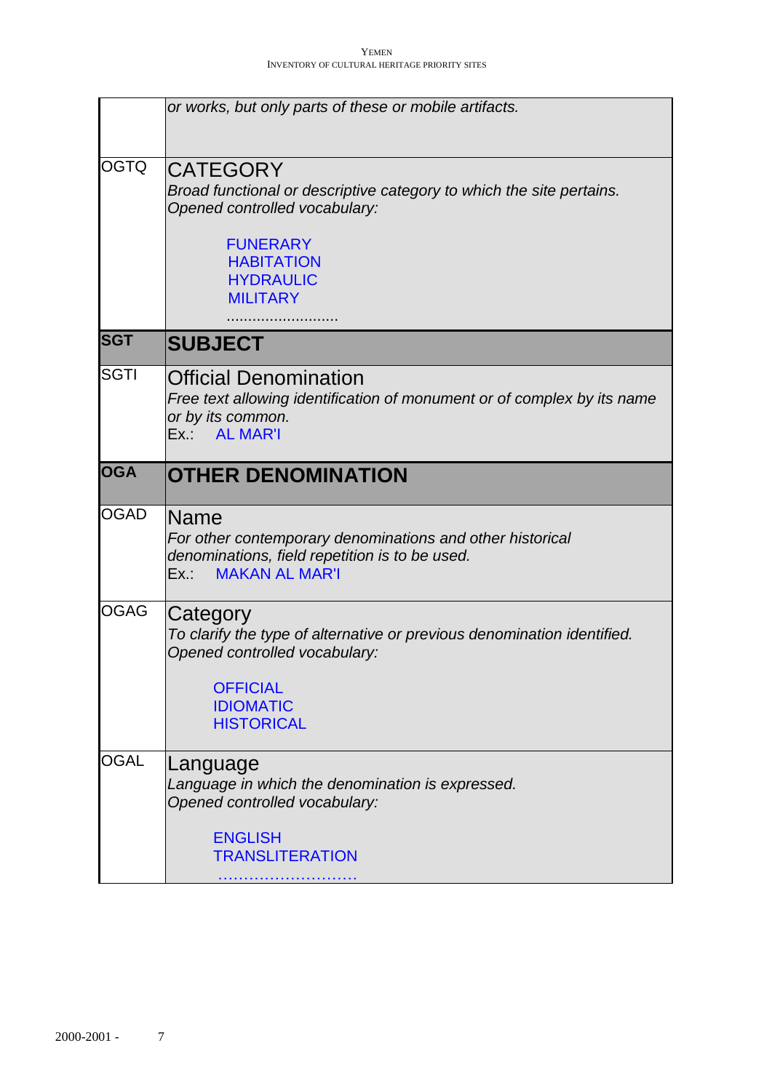|             | or works, but only parts of these or mobile artifacts.                                                                                                                                                  |
|-------------|---------------------------------------------------------------------------------------------------------------------------------------------------------------------------------------------------------|
| <b>OGTQ</b> | <b>CATEGORY</b><br>Broad functional or descriptive category to which the site pertains.<br>Opened controlled vocabulary:<br><b>FUNERARY</b><br><b>HABITATION</b><br><b>HYDRAULIC</b><br><b>MILITARY</b> |
| <b>ISGT</b> | <b>SUBJECT</b>                                                                                                                                                                                          |
| <b>SGTI</b> | <b>Official Denomination</b><br>Free text allowing identification of monument or of complex by its name<br>or by its common.<br>Ex.: AL MAR'I                                                           |
| <b>OGA</b>  | <b>OTHER DENOMINATION</b>                                                                                                                                                                               |
| <b>OGAD</b> | Name<br>For other contemporary denominations and other historical<br>denominations, field repetition is to be used.<br><b>MAKAN AL MAR'I</b><br>Ex.:                                                    |
| <b>OGAG</b> | Category<br>To clarify the type of alternative or previous denomination identified.<br>Opened controlled vocabulary:<br><b>OFFICIAL</b><br><b>IDIOMATIC</b><br><b>HISTORICAL</b>                        |
| <b>OGAL</b> | Language<br>Language in which the denomination is expressed.<br>Opened controlled vocabulary:<br><b>ENGLISH</b><br><b>TRANSLITERATION</b>                                                               |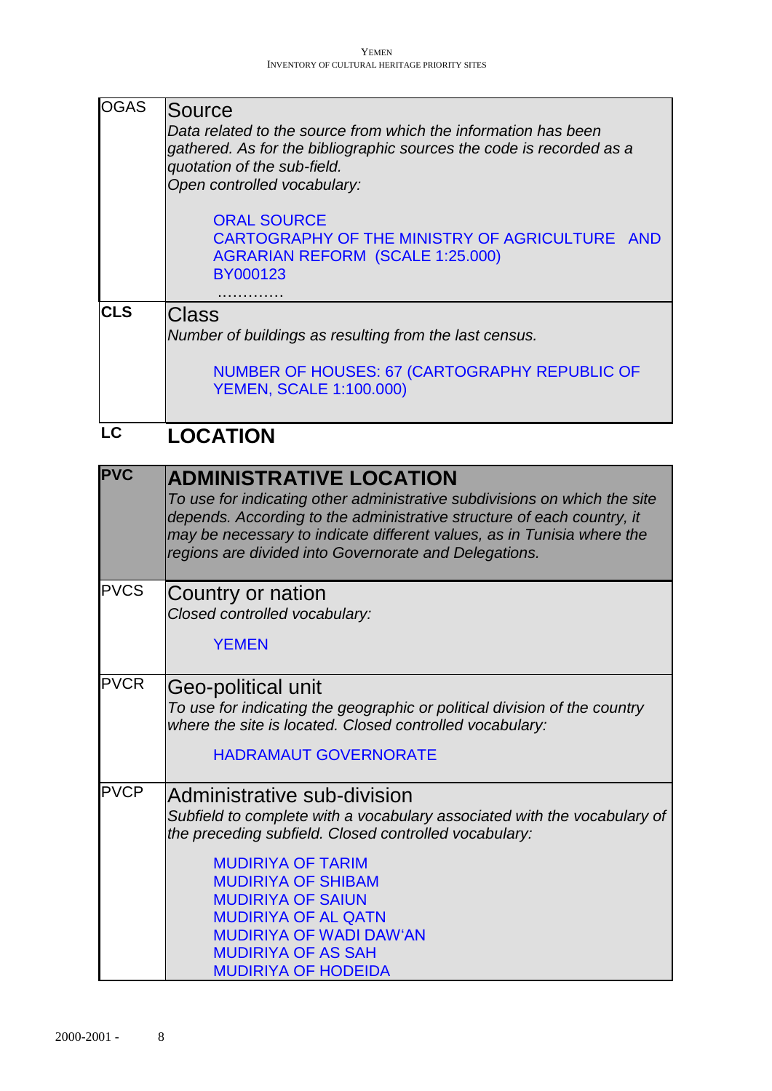| <b>OGAS</b> | Source<br>Data related to the source from which the information has been<br>gathered. As for the bibliographic sources the code is recorded as a<br>quotation of the sub-field.<br>Open controlled vocabulary:<br><b>ORAL SOURCE</b><br>CARTOGRAPHY OF THE MINISTRY OF AGRICULTURE AND<br><b>AGRARIAN REFORM (SCALE 1:25.000)</b> |
|-------------|-----------------------------------------------------------------------------------------------------------------------------------------------------------------------------------------------------------------------------------------------------------------------------------------------------------------------------------|
| <b>CLS</b>  | BY000123<br><b>Class</b><br>Number of buildings as resulting from the last census.<br><b>NUMBER OF HOUSES: 67 (CARTOGRAPHY REPUBLIC OF</b>                                                                                                                                                                                        |
| LC          | <b>YEMEN, SCALE 1:100.000)</b><br><b>LOCATION</b>                                                                                                                                                                                                                                                                                 |

| <b>PVC</b>  | <b>ADMINISTRATIVE LOCATION</b><br>To use for indicating other administrative subdivisions on which the site<br>depends. According to the administrative structure of each country, it<br>may be necessary to indicate different values, as in Tunisia where the<br>regions are divided into Governorate and Delegations.                                                         |
|-------------|----------------------------------------------------------------------------------------------------------------------------------------------------------------------------------------------------------------------------------------------------------------------------------------------------------------------------------------------------------------------------------|
| <b>PVCS</b> | Country or nation<br>Closed controlled vocabulary:<br><b>YEMEN</b>                                                                                                                                                                                                                                                                                                               |
| <b>PVCR</b> | Geo-political unit<br>To use for indicating the geographic or political division of the country<br>where the site is located. Closed controlled vocabulary:<br><b>HADRAMAUT GOVERNORATE</b>                                                                                                                                                                                      |
| <b>PVCP</b> | Administrative sub-division<br>Subfield to complete with a vocabulary associated with the vocabulary of<br>the preceding subfield. Closed controlled vocabulary:<br><b>MUDIRIYA OF TARIM</b><br><b>MUDIRIYA OF SHIBAM</b><br><b>MUDIRIYA OF SAIUN</b><br><b>MUDIRIYA OF AL QATN</b><br><b>MUDIRIYA OF WADI DAW'AN</b><br><b>MUDIRIYA OF AS SAH</b><br><b>MUDIRIYA OF HODEIDA</b> |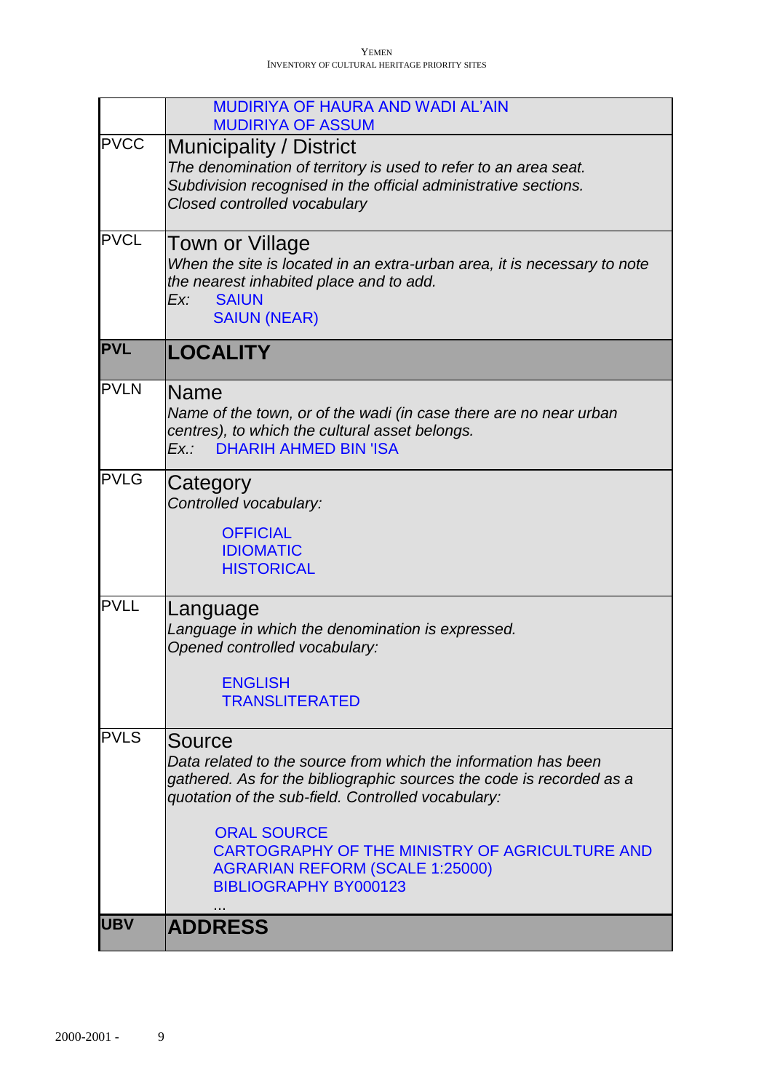|             | MUDIRIYA OF HAURA AND WADI AL'AIN<br><b>MUDIRIYA OF ASSUM</b>                                                                                                                                                                                                                                                                                            |
|-------------|----------------------------------------------------------------------------------------------------------------------------------------------------------------------------------------------------------------------------------------------------------------------------------------------------------------------------------------------------------|
| <b>PVCC</b> | <b>Municipality / District</b><br>The denomination of territory is used to refer to an area seat.<br>Subdivision recognised in the official administrative sections.<br>Closed controlled vocabulary                                                                                                                                                     |
| <b>PVCL</b> | Town or Village<br>When the site is located in an extra-urban area, it is necessary to note<br>the nearest inhabited place and to add.<br><b>SAIUN</b><br>Ex:<br><b>SAIUN (NEAR)</b>                                                                                                                                                                     |
| <b>PVL</b>  | <b>LOCALITY</b>                                                                                                                                                                                                                                                                                                                                          |
| <b>PVLN</b> | <b>Name</b><br>Name of the town, or of the wadi (in case there are no near urban<br>centres), to which the cultural asset belongs.<br>Ex.: DHARIH AHMED BIN 'ISA                                                                                                                                                                                         |
| <b>PVLG</b> | Category<br>Controlled vocabulary:<br><b>OFFICIAL</b><br><b>IDIOMATIC</b><br><b>HISTORICAL</b>                                                                                                                                                                                                                                                           |
| <b>PVLL</b> | Language<br>Language in which the denomination is expressed.<br>Opened controlled vocabulary:<br><b>ENGLISH</b><br><b>TRANSLITERATED</b>                                                                                                                                                                                                                 |
| <b>PVLS</b> | Source<br>Data related to the source from which the information has been<br>gathered. As for the bibliographic sources the code is recorded as a<br>quotation of the sub-field. Controlled vocabulary:<br><b>ORAL SOURCE</b><br>CARTOGRAPHY OF THE MINISTRY OF AGRICULTURE AND<br><b>AGRARIAN REFORM (SCALE 1:25000)</b><br><b>BIBLIOGRAPHY BY000123</b> |
| <b>UBV</b>  | <b>ADDRESS</b>                                                                                                                                                                                                                                                                                                                                           |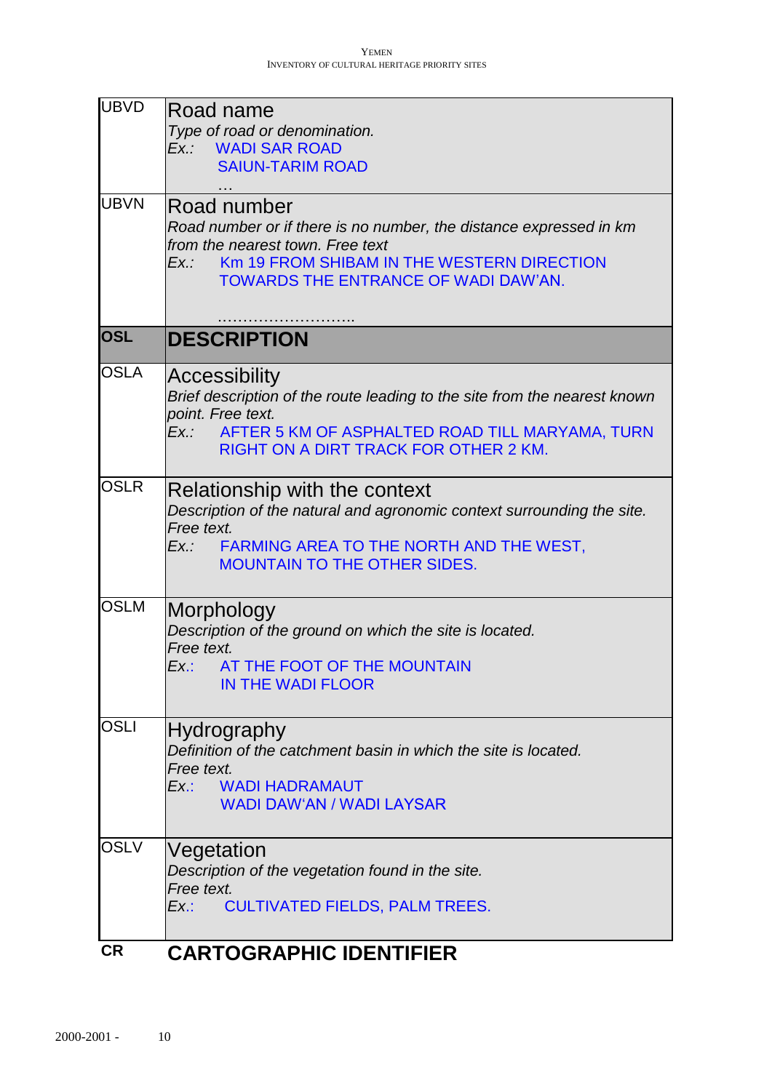| <b>UBVD</b> | Road name                                                                                  |
|-------------|--------------------------------------------------------------------------------------------|
|             | Type of road or denomination.                                                              |
|             | Ex.: WADI SAR ROAD                                                                         |
|             | <b>SAIUN-TARIM ROAD</b>                                                                    |
| <b>UBVN</b> | Road number                                                                                |
|             | Road number or if there is no number, the distance expressed in km                         |
|             | from the nearest town. Free text                                                           |
|             | Km 19 FROM SHIBAM IN THE WESTERN DIRECTION<br>Ex.:<br>TOWARDS THE ENTRANCE OF WADI DAW'AN. |
|             |                                                                                            |
| <b>OSL</b>  |                                                                                            |
|             | <b>DESCRIPTION</b>                                                                         |
| <b>OSLA</b> | Accessibility                                                                              |
|             | Brief description of the route leading to the site from the nearest known                  |
|             | point. Free text.<br>AFTER 5 KM OF ASPHALTED ROAD TILL MARYAMA, TURN<br>Ex.:               |
|             | <b>RIGHT ON A DIRT TRACK FOR OTHER 2 KM.</b>                                               |
|             |                                                                                            |
| <b>OSLR</b> | Relationship with the context                                                              |
|             | Description of the natural and agronomic context surrounding the site.                     |
|             | Free text.<br>Ex.: FARMING AREA TO THE NORTH AND THE WEST,                                 |
|             | <b>MOUNTAIN TO THE OTHER SIDES.</b>                                                        |
|             |                                                                                            |
| <b>OSLM</b> | Morphology                                                                                 |
|             | Description of the ground on which the site is located.                                    |
|             | Free text.<br>Ex.: AT THE FOOT OF THE MOUNTAIN                                             |
|             | <b>IN THE WADI FLOOR</b>                                                                   |
|             |                                                                                            |
| <b>OSLI</b> | Hydrography                                                                                |
|             | Definition of the catchment basin in which the site is located.                            |
|             | Free text.<br>Ex.:<br><b>WADI HADRAMAUT</b>                                                |
|             | <b>WADI DAW'AN / WADI LAYSAR</b>                                                           |
|             |                                                                                            |
| <b>OSLV</b> | Vegetation                                                                                 |
|             | Description of the vegetation found in the site.<br>Free text.                             |
|             | <b>CULTIVATED FIELDS, PALM TREES.</b><br>Ex.:                                              |
|             |                                                                                            |
| <b>CR</b>   | <b>CARTOGRAPHIC IDENTIFIER</b>                                                             |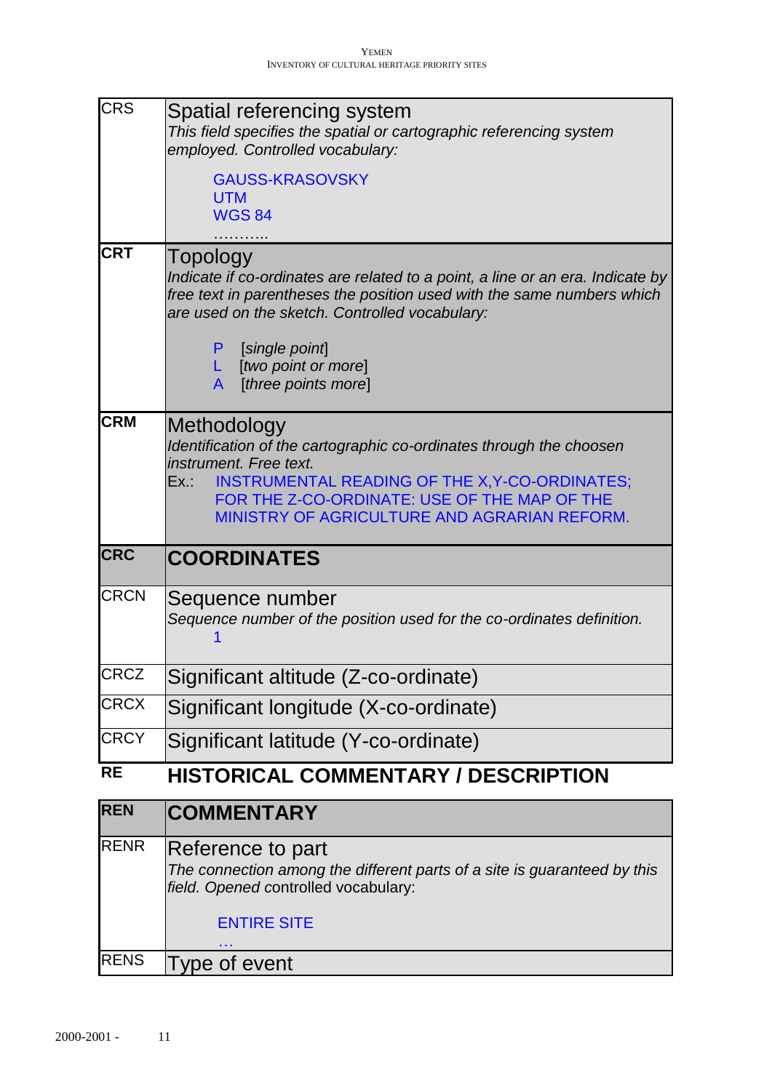| <b>CRS</b>  | Spatial referencing system                                                                                                                                                                                             |
|-------------|------------------------------------------------------------------------------------------------------------------------------------------------------------------------------------------------------------------------|
|             | This field specifies the spatial or cartographic referencing system<br>employed. Controlled vocabulary:                                                                                                                |
|             | <b>GAUSS-KRASOVSKY</b>                                                                                                                                                                                                 |
|             | <b>UTM</b><br><b>WGS 84</b>                                                                                                                                                                                            |
|             |                                                                                                                                                                                                                        |
| <b>CRT</b>  | Topology<br>Indicate if co-ordinates are related to a point, a line or an era. Indicate by<br>free text in parentheses the position used with the same numbers which<br>are used on the sketch. Controlled vocabulary: |
|             | [single point]<br>P<br>L.<br>[two point or more]<br>[three points more]<br>A                                                                                                                                           |
| <b>CRM</b>  | Methodology                                                                                                                                                                                                            |
|             | Identification of the cartographic co-ordinates through the choosen                                                                                                                                                    |
|             | instrument. Free text.<br>INSTRUMENTAL READING OF THE X, Y-CO-ORDINATES;<br>Ex.:                                                                                                                                       |
|             | FOR THE Z-CO-ORDINATE: USE OF THE MAP OF THE                                                                                                                                                                           |
|             | MINISTRY OF AGRICULTURE AND AGRARIAN REFORM.                                                                                                                                                                           |
|             |                                                                                                                                                                                                                        |
| <b>CRC</b>  | <b>COORDINATES</b>                                                                                                                                                                                                     |
| <b>CRCN</b> | Sequence number<br>Sequence number of the position used for the co-ordinates definition.                                                                                                                               |
| <b>CRCZ</b> | Significant altitude (Z-co-ordinate)                                                                                                                                                                                   |
| <b>CRCX</b> | Significant longitude (X-co-ordinate)                                                                                                                                                                                  |
| <b>CRCY</b> | Significant latitude (Y-co-ordinate)                                                                                                                                                                                   |
| <b>RE</b>   | <b>HISTORICAL COMMENTARY / DESCRIPTION</b>                                                                                                                                                                             |
| <b>REN</b>  | <b>COMMENTARY</b>                                                                                                                                                                                                      |
| RENR        | Reference to part<br>The connection among the different parts of a site is guaranteed by this<br>field. Opened controlled vocabulary:                                                                                  |
|             | <b>ENTIRE SITE</b>                                                                                                                                                                                                     |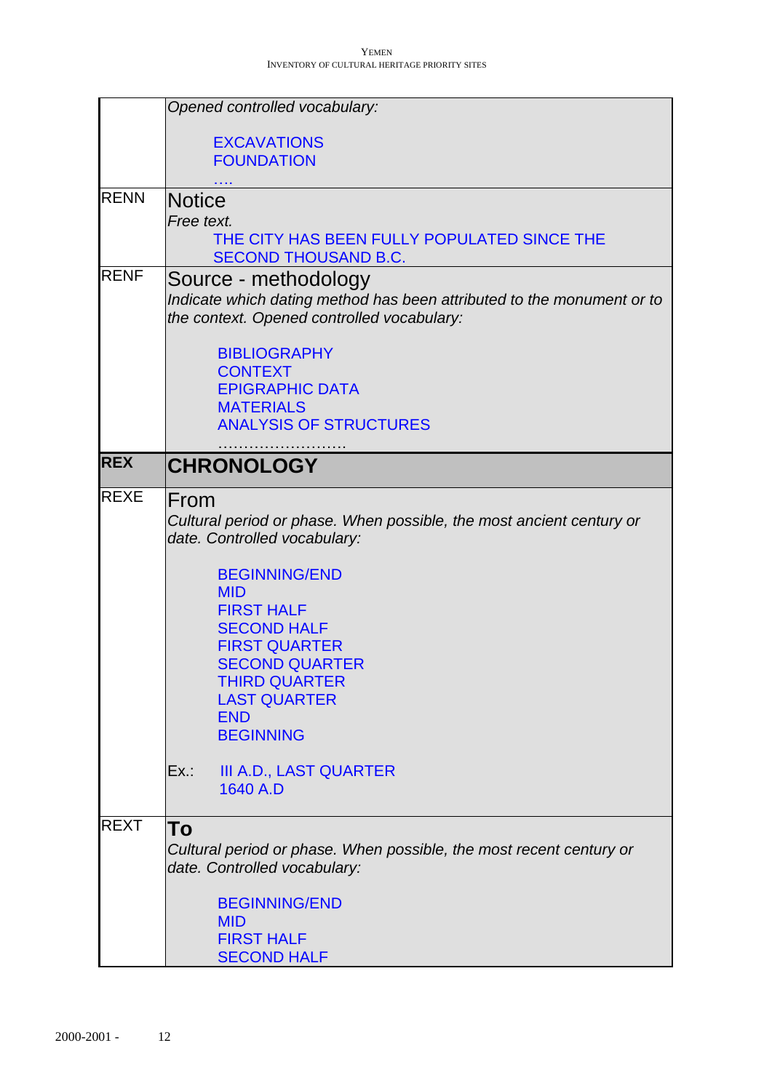|             | Opened controlled vocabulary:                                                                                        |
|-------------|----------------------------------------------------------------------------------------------------------------------|
|             |                                                                                                                      |
|             | <b>EXCAVATIONS</b><br><b>FOUNDATION</b>                                                                              |
|             |                                                                                                                      |
| <b>RENN</b> | Notice                                                                                                               |
|             | Free text.                                                                                                           |
|             | THE CITY HAS BEEN FULLY POPULATED SINCE THE<br><b>SECOND THOUSAND B.C.</b>                                           |
| <b>RENF</b> | Source - methodology                                                                                                 |
|             | Indicate which dating method has been attributed to the monument or to<br>the context. Opened controlled vocabulary: |
|             | <b>BIBLIOGRAPHY</b>                                                                                                  |
|             | <b>CONTEXT</b><br><b>EPIGRAPHIC DATA</b>                                                                             |
|             | <b>MATERIALS</b>                                                                                                     |
|             | <b>ANALYSIS OF STRUCTURES</b>                                                                                        |
| <b>REX</b>  | <b>CHRONOLOGY</b>                                                                                                    |
|             |                                                                                                                      |
| <b>REXE</b> | <b>IFrom</b><br>Cultural period or phase. When possible, the most ancient century or<br>date. Controlled vocabulary: |
|             | <b>BEGINNING/END</b>                                                                                                 |
|             | <b>MID</b><br><b>FIRST HALF</b>                                                                                      |
|             | <b>SECOND HALF</b>                                                                                                   |
|             | <b>FIRST QUARTER</b>                                                                                                 |
|             | <b>SECOND QUARTER</b>                                                                                                |
|             | THIRD QUARTER                                                                                                        |
|             | <b>LAST QUARTER</b>                                                                                                  |
|             | <b>END</b><br><b>BEGINNING</b>                                                                                       |
|             |                                                                                                                      |
|             | <b>III A.D., LAST QUARTER</b><br>Ex.:<br>1640 A.D                                                                    |
| <b>REXT</b> | To                                                                                                                   |
|             | Cultural period or phase. When possible, the most recent century or<br>date. Controlled vocabulary:                  |
|             | <b>BEGINNING/END</b>                                                                                                 |
|             | <b>MID</b>                                                                                                           |
|             | <b>FIRST HALF</b>                                                                                                    |
|             | <b>SECOND HALF</b>                                                                                                   |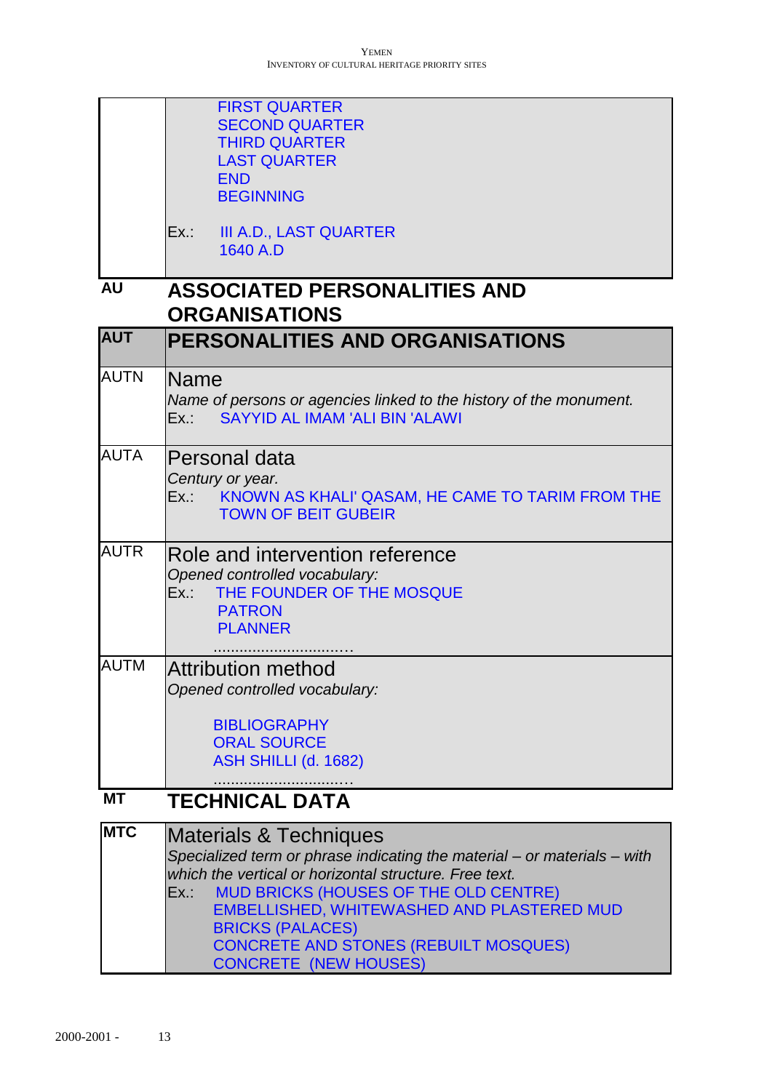|             | <b>FIRST QUARTER</b><br><b>SECOND QUARTER</b><br><b>THIRD QUARTER</b><br><b>LAST QUARTER</b><br><b>END</b><br><b>BEGINNING</b>                                                                                                                                                                                                                                                       |
|-------------|--------------------------------------------------------------------------------------------------------------------------------------------------------------------------------------------------------------------------------------------------------------------------------------------------------------------------------------------------------------------------------------|
|             | <b>III A.D., LAST QUARTER</b><br>Ex.: T<br>1640 A.D                                                                                                                                                                                                                                                                                                                                  |
| <b>AU</b>   | <b>ASSOCIATED PERSONALITIES AND</b><br><b>ORGANISATIONS</b>                                                                                                                                                                                                                                                                                                                          |
| <b>AUT</b>  | <b>PERSONALITIES AND ORGANISATIONS</b>                                                                                                                                                                                                                                                                                                                                               |
| <b>AUTN</b> | Name<br>Name of persons or agencies linked to the history of the monument.<br><b>SAYYID AL IMAM 'ALI BIN 'ALAWI</b><br>Ex.:                                                                                                                                                                                                                                                          |
| <b>AUTA</b> | Personal data<br>Century or year.<br>KNOWN AS KHALI' QASAM, HE CAME TO TARIM FROM THE<br>Ex.:<br><b>TOWN OF BEIT GUBEIR</b>                                                                                                                                                                                                                                                          |
| <b>AUTR</b> | Role and intervention reference<br>Opened controlled vocabulary:<br>THE FOUNDER OF THE MOSQUE<br>Ex.:<br><b>PATRON</b><br><b>PLANNER</b>                                                                                                                                                                                                                                             |
| <b>AUTM</b> | <b>Attribution method</b><br>Opened controlled vocabulary:<br><b>BIBLIOGRAPHY</b><br><b>ORAL SOURCE</b><br>ASH SHILLI (d. 1682)                                                                                                                                                                                                                                                      |
| <b>MT</b>   | <b>TECHNICAL DATA</b>                                                                                                                                                                                                                                                                                                                                                                |
| <b>MTC</b>  | Materials & Techniques<br>Specialized term or phrase indicating the material - or materials - with<br>which the vertical or horizontal structure. Free text.<br><b>MUD BRICKS (HOUSES OF THE OLD CENTRE)</b><br>Ex.:<br><b>EMBELLISHED, WHITEWASHED AND PLASTERED MUD</b><br><b>BRICKS (PALACES)</b><br><b>CONCRETE AND STONES (REBUILT MOSQUES)</b><br><b>CONCRETE (NEW HOUSES)</b> |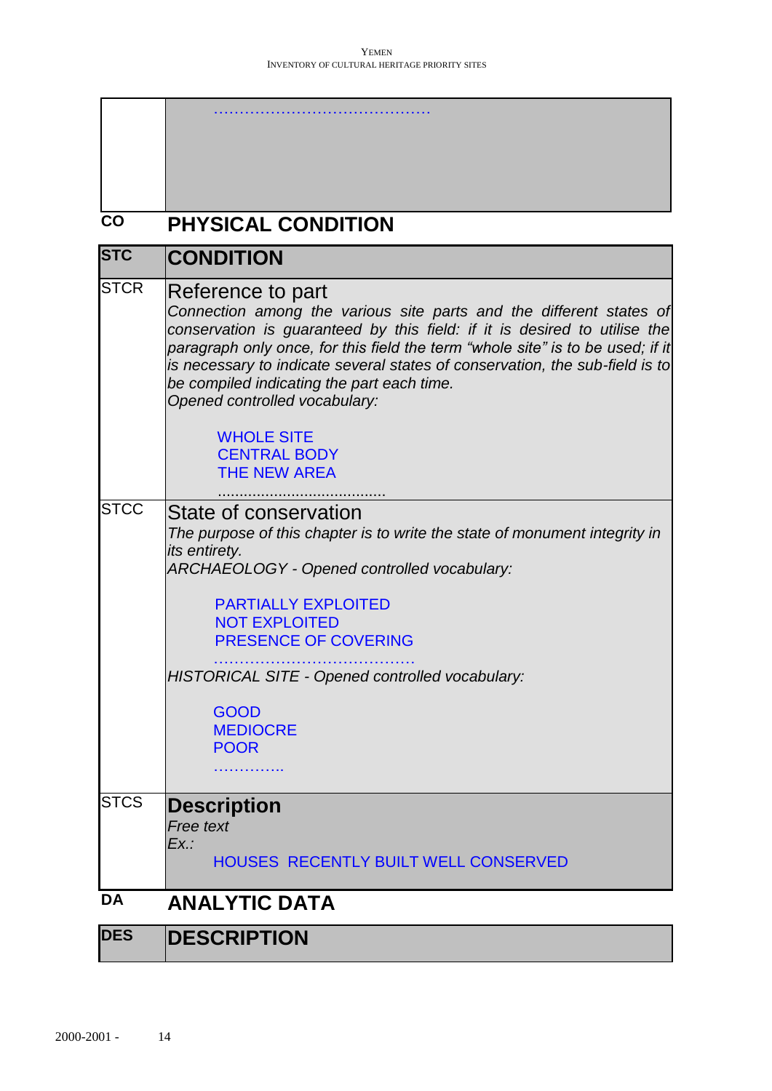| <b>CO</b>   | <b>PHYSICAL CONDITION</b>                                                                                                                                                                                                                                                                                                                                                                                              |
|-------------|------------------------------------------------------------------------------------------------------------------------------------------------------------------------------------------------------------------------------------------------------------------------------------------------------------------------------------------------------------------------------------------------------------------------|
| <b>STC</b>  | CONDITION                                                                                                                                                                                                                                                                                                                                                                                                              |
| <b>STCR</b> | Reference to part<br>Connection among the various site parts and the different states of<br>conservation is guaranteed by this field: if it is desired to utilise the<br>paragraph only once, for this field the term "whole site" is to be used; if it<br>is necessary to indicate several states of conservation, the sub-field is to<br>be compiled indicating the part each time.<br>Opened controlled vocabulary: |
|             | <b>WHOLE SITE</b><br><b>CENTRAL BODY</b><br><b>THE NEW AREA</b>                                                                                                                                                                                                                                                                                                                                                        |
| <b>STCC</b> | State of conservation<br>The purpose of this chapter is to write the state of monument integrity in<br>its entirety.<br>ARCHAEOLOGY - Opened controlled vocabulary:                                                                                                                                                                                                                                                    |
|             | <b>PARTIALLY EXPLOITED</b><br><b>NOT EXPLOITED</b><br><b>PRESENCE OF COVERING</b>                                                                                                                                                                                                                                                                                                                                      |
|             | HISTORICAL SITE - Opened controlled vocabulary:                                                                                                                                                                                                                                                                                                                                                                        |
|             | <b>GOOD</b><br><b>MEDIOCRE</b><br><b>POOR</b>                                                                                                                                                                                                                                                                                                                                                                          |
|             |                                                                                                                                                                                                                                                                                                                                                                                                                        |
| <b>STCS</b> | <b>Description</b><br>Free text<br>Ex.:                                                                                                                                                                                                                                                                                                                                                                                |
|             | <b>HOUSES RECENTLY BUILT WELL CONSERVED</b>                                                                                                                                                                                                                                                                                                                                                                            |
| <b>DA</b>   | <b>ANALYTIC DATA</b>                                                                                                                                                                                                                                                                                                                                                                                                   |
| <b>DES</b>  | <b>DESCRIPTION</b>                                                                                                                                                                                                                                                                                                                                                                                                     |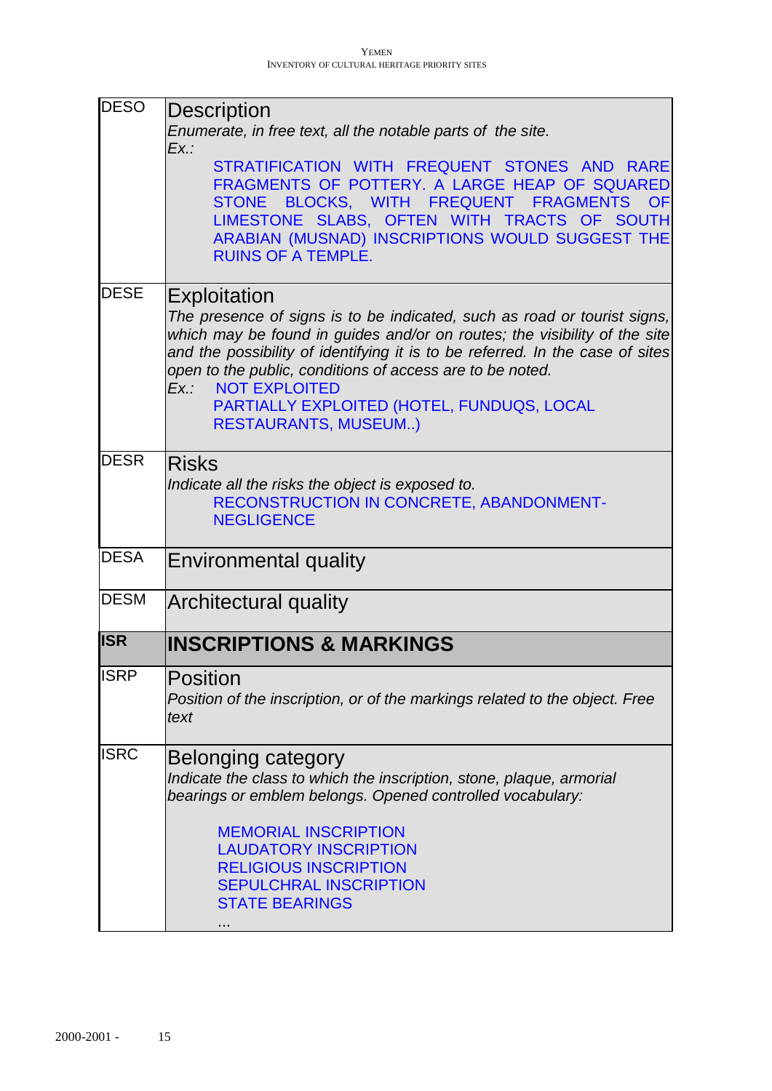| <b>DESO</b> | <b>Description</b>                                                                                                                                                                                                                                                                                                        |
|-------------|---------------------------------------------------------------------------------------------------------------------------------------------------------------------------------------------------------------------------------------------------------------------------------------------------------------------------|
|             | Enumerate, in free text, all the notable parts of the site.<br>Ex.:                                                                                                                                                                                                                                                       |
|             | STRATIFICATION WITH FREQUENT STONES AND RARE<br>FRAGMENTS OF POTTERY. A LARGE HEAP OF SQUARED<br>STONE BLOCKS, WITH FREQUENT FRAGMENTS<br><b>OF</b><br>LIMESTONE SLABS, OFTEN WITH TRACTS OF SOUTH<br>ARABIAN (MUSNAD) INSCRIPTIONS WOULD SUGGEST THE<br><b>RUINS OF A TEMPLE.</b>                                        |
| <b>DESE</b> | Exploitation                                                                                                                                                                                                                                                                                                              |
|             | The presence of signs is to be indicated, such as road or tourist signs,<br>which may be found in guides and/or on routes; the visibility of the site<br>and the possibility of identifying it is to be referred. In the case of sites<br>open to the public, conditions of access are to be noted.<br>Ex.: NOT EXPLOITED |
|             | PARTIALLY EXPLOITED (HOTEL, FUNDUQS, LOCAL<br><b>RESTAURANTS, MUSEUM)</b>                                                                                                                                                                                                                                                 |
| <b>DESR</b> | <b>Risks</b><br>Indicate all the risks the object is exposed to.<br>RECONSTRUCTION IN CONCRETE, ABANDONMENT-<br><b>NEGLIGENCE</b>                                                                                                                                                                                         |
| <b>DESA</b> | <b>Environmental quality</b>                                                                                                                                                                                                                                                                                              |
| <b>DESM</b> | Architectural quality                                                                                                                                                                                                                                                                                                     |
| <b>ISR</b>  | <b>INSCRIPTIONS &amp; MARKINGS</b>                                                                                                                                                                                                                                                                                        |
| <b>ISRP</b> | Position<br>Position of the inscription, or of the markings related to the object. Free<br>text                                                                                                                                                                                                                           |
| <b>ISRC</b> | Belonging category<br>Indicate the class to which the inscription, stone, plaque, armorial<br>bearings or emblem belongs. Opened controlled vocabulary:                                                                                                                                                                   |
|             | <b>MEMORIAL INSCRIPTION</b><br><b>LAUDATORY INSCRIPTION</b><br><b>RELIGIOUS INSCRIPTION</b>                                                                                                                                                                                                                               |
|             | <b>SEPULCHRAL INSCRIPTION</b><br><b>STATE BEARINGS</b>                                                                                                                                                                                                                                                                    |
|             |                                                                                                                                                                                                                                                                                                                           |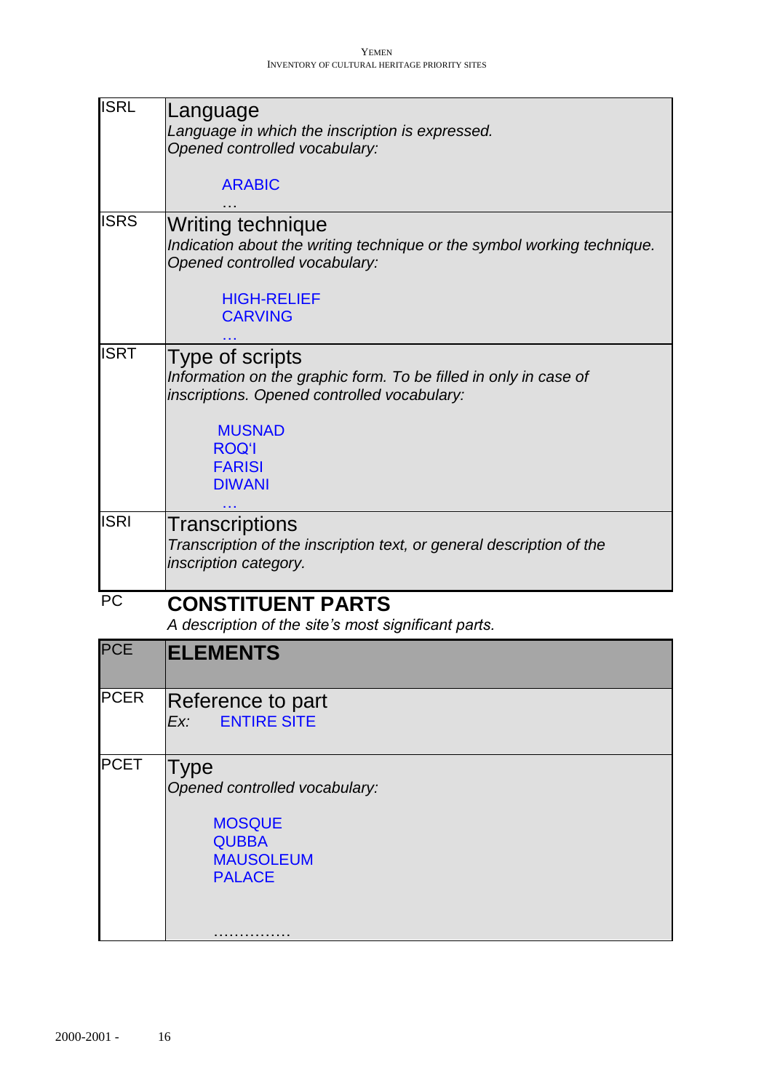| <b>ISRL</b> | Language<br>Language in which the inscription is expressed.<br>Opened controlled vocabulary:                                                                                 |
|-------------|------------------------------------------------------------------------------------------------------------------------------------------------------------------------------|
|             | <b>ARABIC</b>                                                                                                                                                                |
| <b>ISRS</b> | <b>Writing technique</b><br>Indication about the writing technique or the symbol working technique.<br>Opened controlled vocabulary:<br><b>HIGH-RELIEF</b><br><b>CARVING</b> |
|             |                                                                                                                                                                              |
| <b>ISRT</b> | Type of scripts<br>Information on the graphic form. To be filled in only in case of<br>inscriptions. Opened controlled vocabulary:                                           |
|             | <b>MUSNAD</b><br><b>ROQ'I</b><br><b>FARISI</b><br><b>DIWANI</b>                                                                                                              |
| <b>ISRI</b> | Transcriptions<br>Transcription of the inscription text, or general description of the<br>inscription category.                                                              |
| <b>PC</b>   | <b>CONSTITUENT PARTS</b><br>A description of the site's most significant parts.                                                                                              |
| <b>PCE</b>  | <b>ELEMENTS</b>                                                                                                                                                              |
| <b>PCER</b> | Reference to part<br><b>ENTIRE SITE</b><br>Ex:                                                                                                                               |
| <b>PCET</b> | Type<br>Opened controlled vocabulary:<br><b>MOSQUE</b><br><b>QUBBA</b><br><b>MAUSOLEUM</b><br><b>PALACE</b>                                                                  |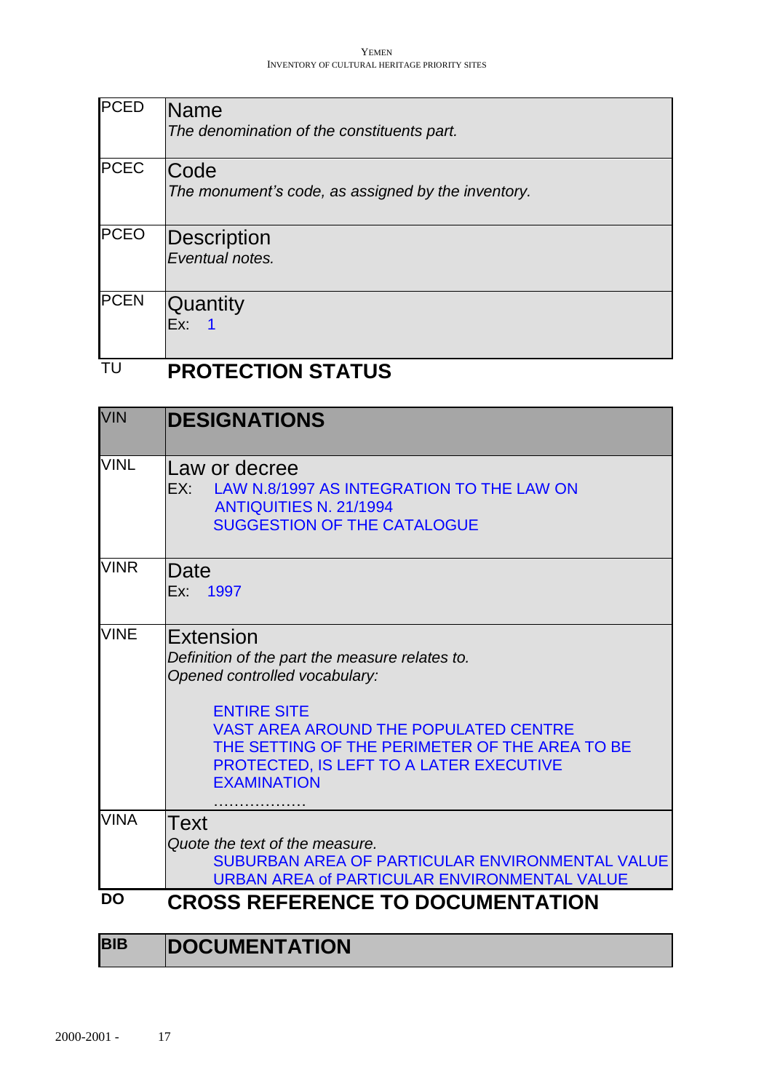| <b>PCED</b>      | <b>Name</b><br>The denomination of the constituents part.  |
|------------------|------------------------------------------------------------|
| <b>PCEC</b>      | Code<br>The monument's code, as assigned by the inventory. |
| <b>PCEO</b>      | Description<br>Eventual notes.                             |
| <b>PCEN</b><br>- | Quantity<br>Ex:                                            |

# TU **PROTECTION STATUS**

| <b>VIN</b>  | <b>DESIGNATIONS</b>                                                                                                                                                                                                                                                                   |
|-------------|---------------------------------------------------------------------------------------------------------------------------------------------------------------------------------------------------------------------------------------------------------------------------------------|
| <b>VINL</b> | Law or decree<br>EX: LAW N.8/1997 AS INTEGRATION TO THE LAW ON<br><b>ANTIQUITIES N. 21/1994</b><br><b>SUGGESTION OF THE CATALOGUE</b>                                                                                                                                                 |
| <b>VINR</b> | Date<br>Ex: 1997                                                                                                                                                                                                                                                                      |
| <b>VINE</b> | Extension<br>Definition of the part the measure relates to.<br>Opened controlled vocabulary:<br><b>ENTIRE SITE</b><br><b>VAST AREA AROUND THE POPULATED CENTRE</b><br>THE SETTING OF THE PERIMETER OF THE AREA TO BE<br>PROTECTED, IS LEFT TO A LATER EXECUTIVE<br><b>EXAMINATION</b> |
| <b>VINA</b> | Text<br>Quote the text of the measure.<br>SUBURBAN AREA OF PARTICULAR ENVIRONMENTAL VALUE<br>URBAN AREA of PARTICULAR ENVIRONMENTAL VALUE                                                                                                                                             |
| <b>DO</b>   | <b>CROSS REFERENCE TO DOCUMENTATION</b>                                                                                                                                                                                                                                               |

| <b>BIB</b> | <b>DOCUMENTATION</b> |
|------------|----------------------|
|------------|----------------------|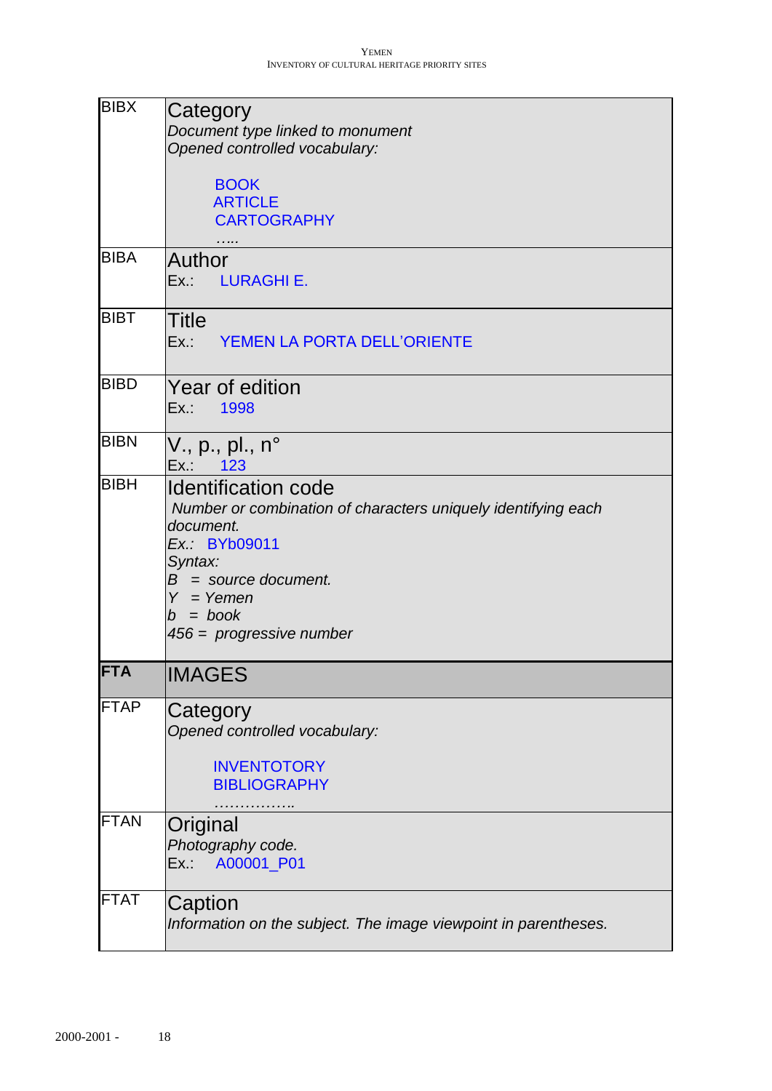| <b>BIBX</b> | Category                                                                   |
|-------------|----------------------------------------------------------------------------|
|             | Document type linked to monument<br>Opened controlled vocabulary:          |
|             | <b>BOOK</b>                                                                |
|             | <b>ARTICLE</b>                                                             |
|             | <b>CARTOGRAPHY</b>                                                         |
| <b>BIBA</b> | Author                                                                     |
|             | Ex.: LURAGHI E.                                                            |
| <b>BIBT</b> | <b>Title</b>                                                               |
|             | YEMEN LA PORTA DELL'ORIENTE<br>Ex.:                                        |
| <b>BIBD</b> | Year of edition                                                            |
|             | 1998<br>Ex.:                                                               |
| <b>BIBN</b> | V., p., pl., n <sup>o</sup><br>Ex.: 123                                    |
| <b>BIBH</b> | <b>Identification code</b>                                                 |
|             | Number or combination of characters uniquely identifying each<br>document. |
|             | Ex.: BYb09011                                                              |
|             | Syntax:<br>$B =$ source document.                                          |
|             | $Y = Y$ emen                                                               |
|             | $b = book$<br>$456 =$ progressive number                                   |
| <b>FTA</b>  | <b>IMAGES</b>                                                              |
|             |                                                                            |
| <b>FTAP</b> | Category<br>Opened controlled vocabulary:                                  |
|             | <b>INVENTOTORY</b><br><b>BIBLIOGRAPHY</b>                                  |
| <b>FTAN</b> | .<br>Original                                                              |
|             | Photography code.                                                          |
|             | A00001 P01<br>Ex.:                                                         |
| <b>FTAT</b> | Caption                                                                    |
|             | Information on the subject. The image viewpoint in parentheses.            |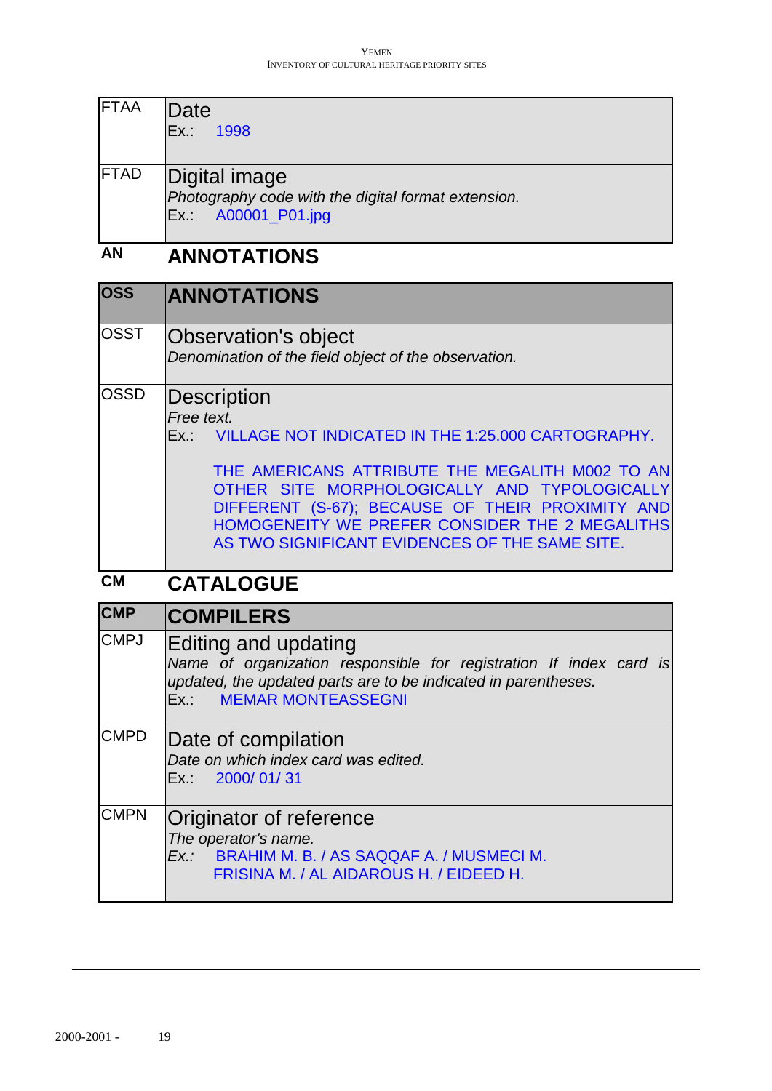| <b>FTAA</b> | Date<br>1998<br>Ex.:                                                                        |
|-------------|---------------------------------------------------------------------------------------------|
| <b>FTAD</b> | Digital image<br>Photography code with the digital format extension.<br>Ex.: A00001_P01.jpg |

# **AN ANNOTATIONS**

| <b>OSS</b>  | <b>ANNOTATIONS</b>                                                                                                                                                                                                                                                                                                                              |
|-------------|-------------------------------------------------------------------------------------------------------------------------------------------------------------------------------------------------------------------------------------------------------------------------------------------------------------------------------------------------|
| <b>OSST</b> | <b>Observation's object</b><br>Denomination of the field object of the observation.                                                                                                                                                                                                                                                             |
| <b>OSSD</b> | Description<br>Free text.<br>Ex.: VILLAGE NOT INDICATED IN THE 1:25.000 CARTOGRAPHY.<br>THE AMERICANS ATTRIBUTE THE MEGALITH M002 TO AN<br>OTHER SITE MORPHOLOGICALLY AND TYPOLOGICALLY<br>DIFFERENT (S-67); BECAUSE OF THEIR PROXIMITY AND<br>HOMOGENEITY WE PREFER CONSIDER THE 2 MEGALITHS<br>AS TWO SIGNIFICANT EVIDENCES OF THE SAME SITE. |
| <b>CM</b>   | <b>CATALOGUE</b>                                                                                                                                                                                                                                                                                                                                |
| <b>CMP</b>  | <b>COMPILERS</b>                                                                                                                                                                                                                                                                                                                                |
| <b>CMPJ</b> | Editing and updating<br>Name of organization responsible for registration If index card is                                                                                                                                                                                                                                                      |

*Name of organization responsible for registration If index card is updated, the updated parts are to be indicated in parentheses.* Ex.: MEMAR MONTEASSEGNI CMPD Date of compilation *Date on which index card was edited.*  Ex.: 2000/ 01/ 31 CMPN Originator of reference *The operator's name.*

*Ex.:* BRAHIM M. B. / AS SAQQAF A. / MUSMECI M.

FRISINA M. / AL AIDAROUS H. / EIDEED H.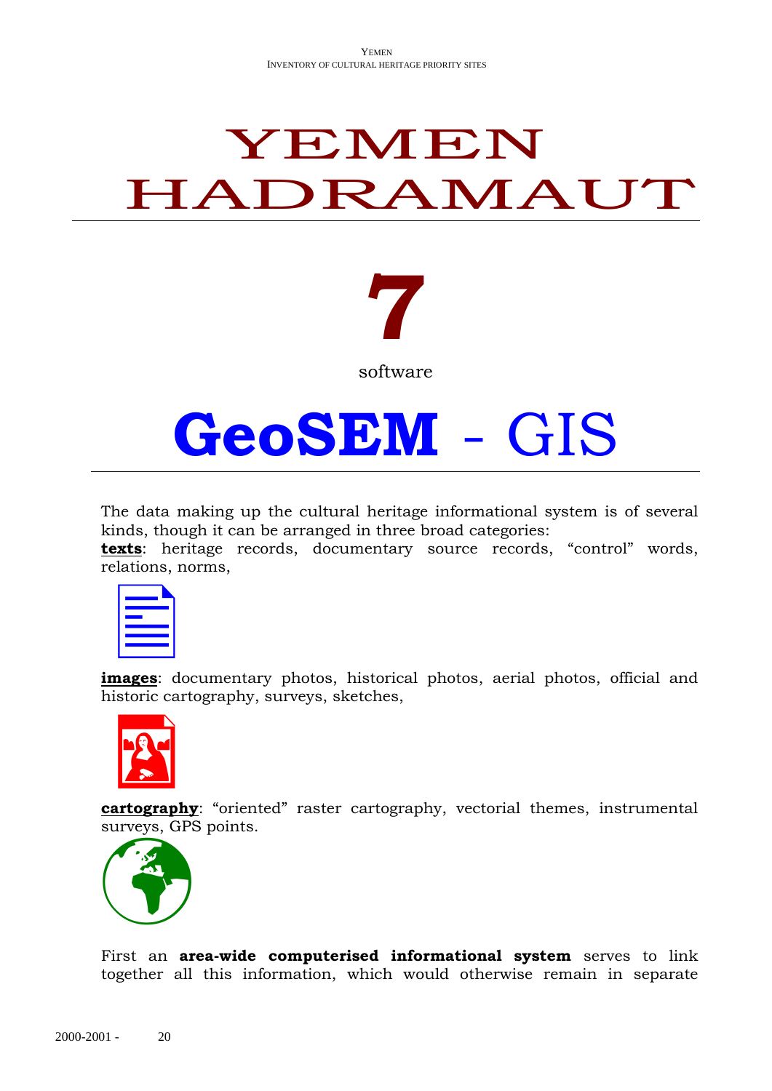# YEMEN HADRAMAUT

# **7**

software

# **GeoSEM** - GIS

The data making up the cultural heritage informational system is of several kinds, though it can be arranged in three broad categories:

**texts**: heritage records, documentary source records, "control" words, relations, norms,

**images**: documentary photos, historical photos, aerial photos, official and historic cartography, surveys, sketches,



**cartography**: "oriented" raster cartography, vectorial themes, instrumental surveys, GPS points.



First an **area-wide computerised informational system** serves to link together all this information, which would otherwise remain in separate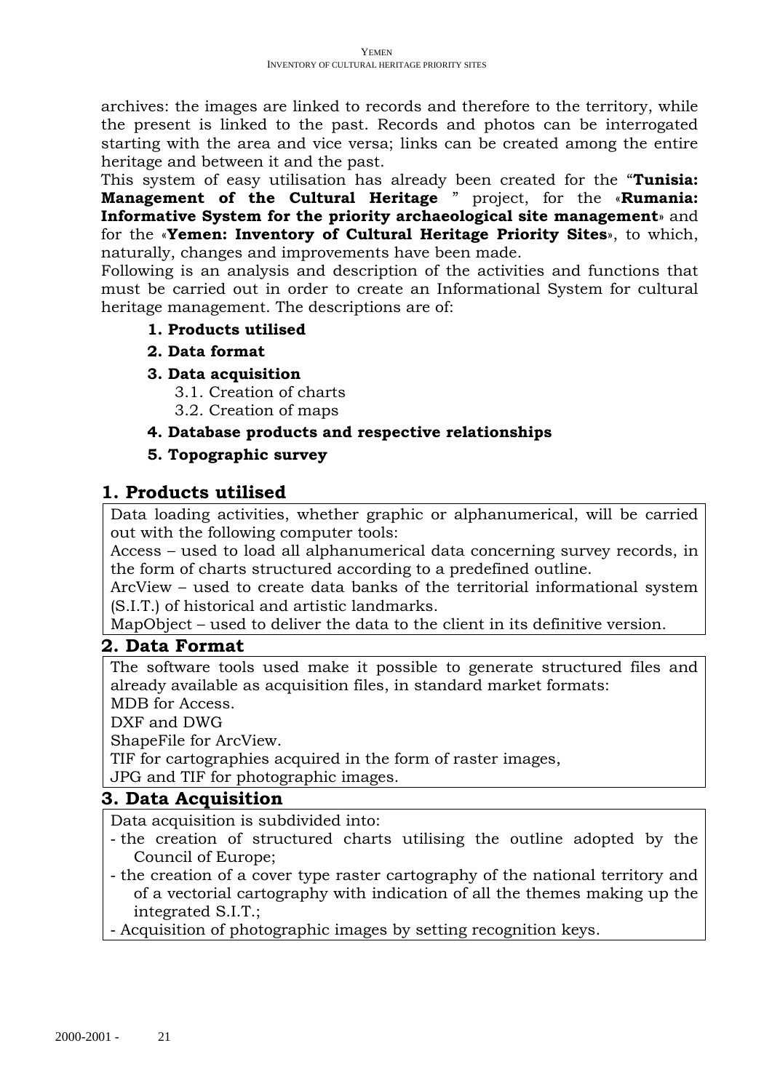archives: the images are linked to records and therefore to the territory, while the present is linked to the past. Records and photos can be interrogated starting with the area and vice versa; links can be created among the entire heritage and between it and the past.

This system of easy utilisation has already been created for the "**Tunisia: Management of the Cultural Heritage** " project, for the «**Rumania: Informative System for the priority archaeological site management**» and for the «**Yemen: Inventory of Cultural Heritage Priority Sites**», to which, naturally, changes and improvements have been made.

Following is an analysis and description of the activities and functions that must be carried out in order to create an Informational System for cultural heritage management. The descriptions are of:

### **1. Products utilised**

## **2. Data format**

**3. Data acquisition**

3.1. Creation of charts

3.2. Creation of maps

# **4. Database products and respective relationships**

# **5. Topographic survey**

# **1. Products utilised**

Data loading activities, whether graphic or alphanumerical, will be carried out with the following computer tools:

Access – used to load all alphanumerical data concerning survey records, in the form of charts structured according to a predefined outline.

ArcView – used to create data banks of the territorial informational system (S.I.T.) of historical and artistic landmarks.

MapObject – used to deliver the data to the client in its definitive version.

## **2. Data Format**

The software tools used make it possible to generate structured files and already available as acquisition files, in standard market formats:

MDB for Access.

DXF and DWG

ShapeFile for ArcView.

TIF for cartographies acquired in the form of raster images,

JPG and TIF for photographic images.

# **3. Data Acquisition**

Data acquisition is subdivided into:

- the creation of structured charts utilising the outline adopted by the Council of Europe;
- the creation of a cover type raster cartography of the national territory and of a vectorial cartography with indication of all the themes making up the integrated S.I.T.;
- Acquisition of photographic images by setting recognition keys.